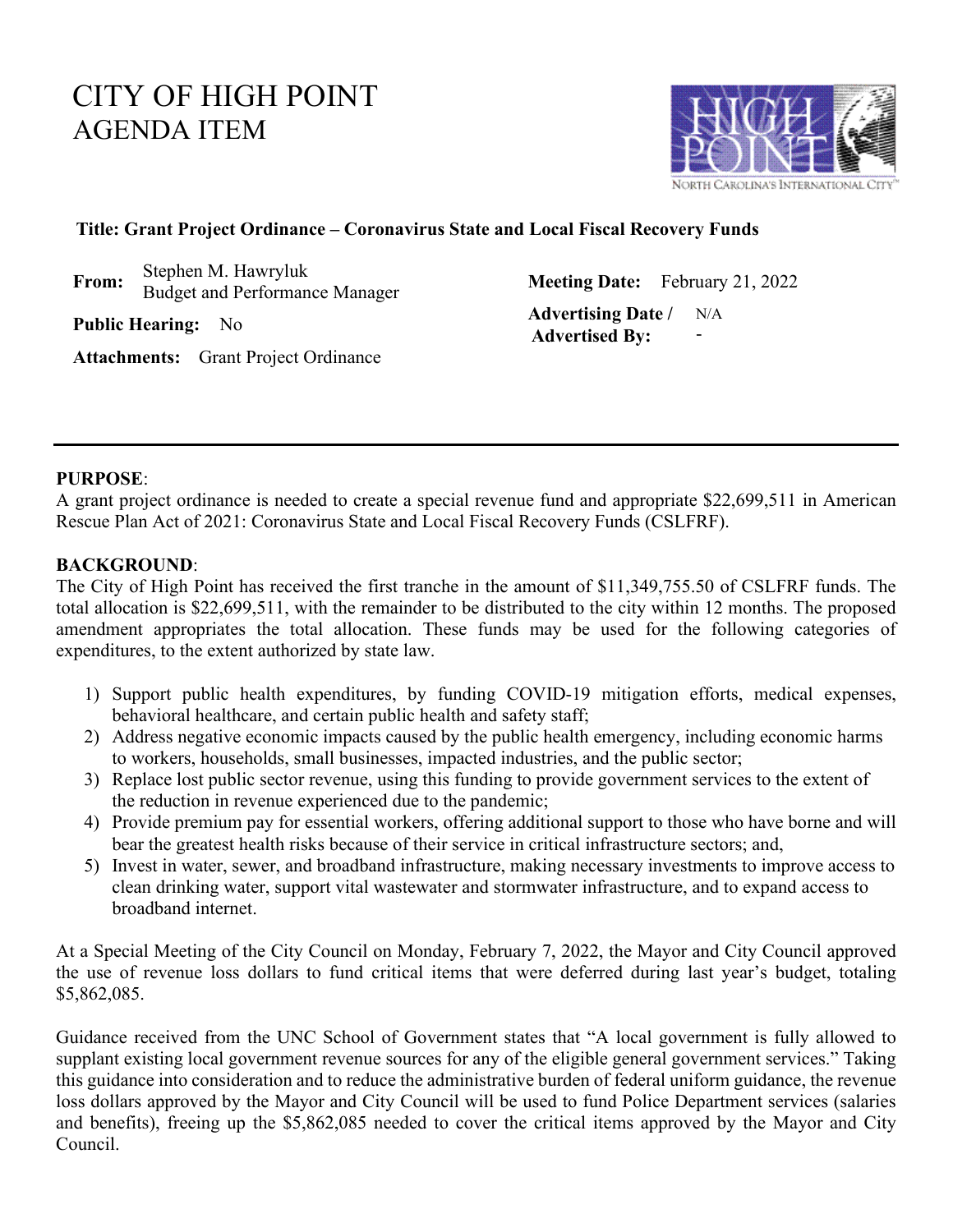# CITY OF HIGH POINT AGENDA ITEM



### **Title: Grant Project Ordinance – Coronavirus State and Local Fiscal Recovery Funds**

**From:** Stephen M. Hawryluk

Budget and Performance Manager **Meeting Date:** February 21, 2022

**Public Hearing:** No **Advertising Date** / **Advertising Date** / **Advertised By:** N/A -

**Attachments:** Grant Project Ordinance

### **PURPOSE**:

A grant project ordinance is needed to create a special revenue fund and appropriate \$22,699,511 in American Rescue Plan Act of 2021: Coronavirus State and Local Fiscal Recovery Funds (CSLFRF).

### **BACKGROUND**:

The City of High Point has received the first tranche in the amount of \$11,349,755.50 of CSLFRF funds. The total allocation is \$22,699,511, with the remainder to be distributed to the city within 12 months. The proposed amendment appropriates the total allocation. These funds may be used for the following categories of expenditures, to the extent authorized by state law.

- 1) Support public health expenditures, by funding COVID-19 mitigation efforts, medical expenses, behavioral healthcare, and certain public health and safety staff;
- 2) Address negative economic impacts caused by the public health emergency, including economic harms to workers, households, small businesses, impacted industries, and the public sector;
- 3) Replace lost public sector revenue, using this funding to provide government services to the extent of the reduction in revenue experienced due to the pandemic;
- 4) Provide premium pay for essential workers, offering additional support to those who have borne and will bear the greatest health risks because of their service in critical infrastructure sectors; and,
- 5) Invest in water, sewer, and broadband infrastructure, making necessary investments to improve access to clean drinking water, support vital wastewater and stormwater infrastructure, and to expand access to broadband internet.

At a Special Meeting of the City Council on Monday, February 7, 2022, the Mayor and City Council approved the use of revenue loss dollars to fund critical items that were deferred during last year's budget, totaling \$5,862,085.

Guidance received from the UNC School of Government states that "A local government is fully allowed to supplant existing local government revenue sources for any of the eligible general government services." Taking this guidance into consideration and to reduce the administrative burden of federal uniform guidance, the revenue loss dollars approved by the Mayor and City Council will be used to fund Police Department services (salaries and benefits), freeing up the \$5,862,085 needed to cover the critical items approved by the Mayor and City Council.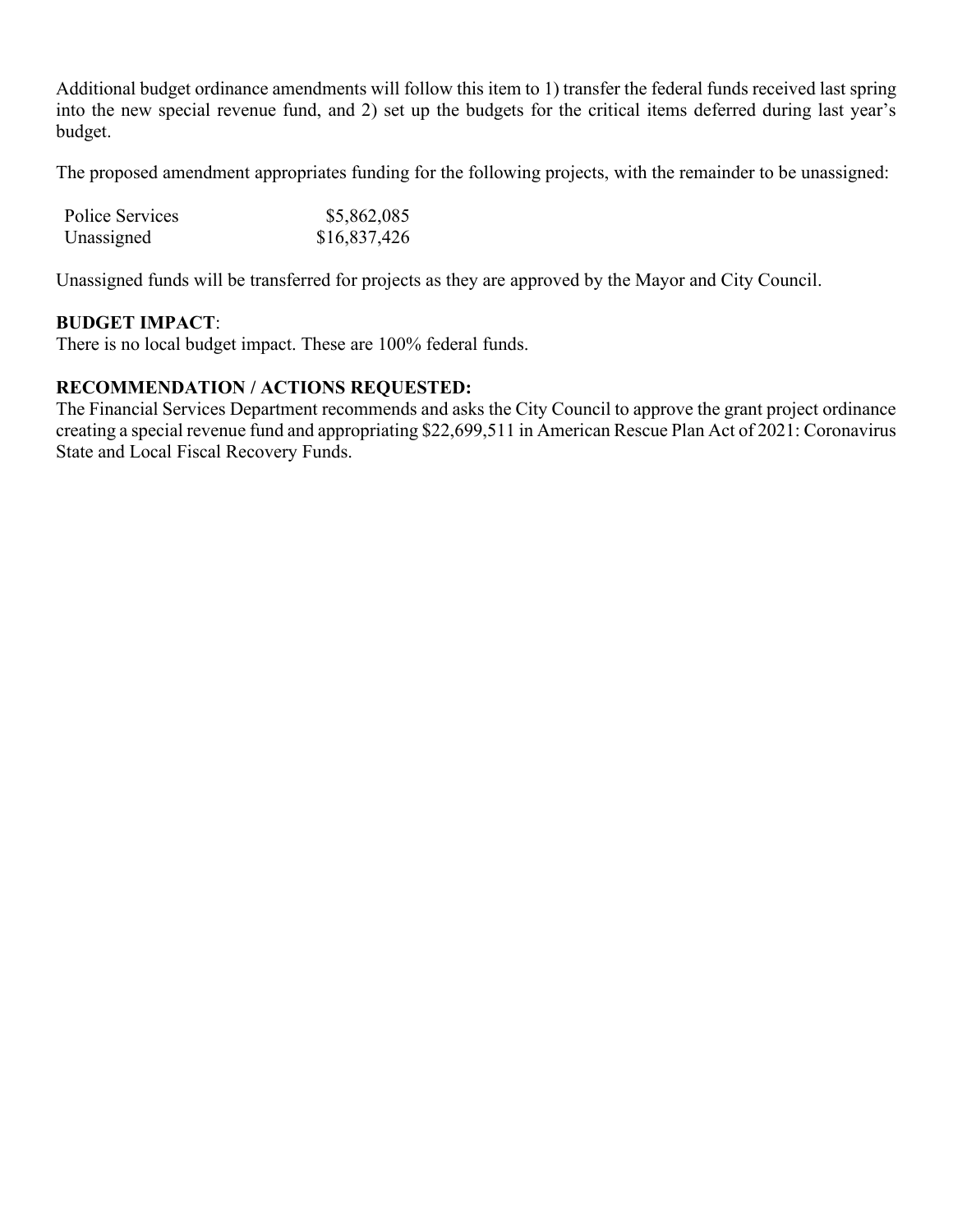Additional budget ordinance amendments will follow this item to 1) transfer the federal funds received last spring into the new special revenue fund, and 2) set up the budgets for the critical items deferred during last year's budget.

The proposed amendment appropriates funding for the following projects, with the remainder to be unassigned:

| Police Services | \$5,862,085  |
|-----------------|--------------|
| Unassigned      | \$16,837,426 |

Unassigned funds will be transferred for projects as they are approved by the Mayor and City Council.

## **BUDGET IMPACT**:

There is no local budget impact. These are 100% federal funds.

## **RECOMMENDATION / ACTIONS REQUESTED:**

The Financial Services Department recommends and asks the City Council to approve the grant project ordinance creating a special revenue fund and appropriating \$22,699,511 in American Rescue Plan Act of 2021: Coronavirus State and Local Fiscal Recovery Funds.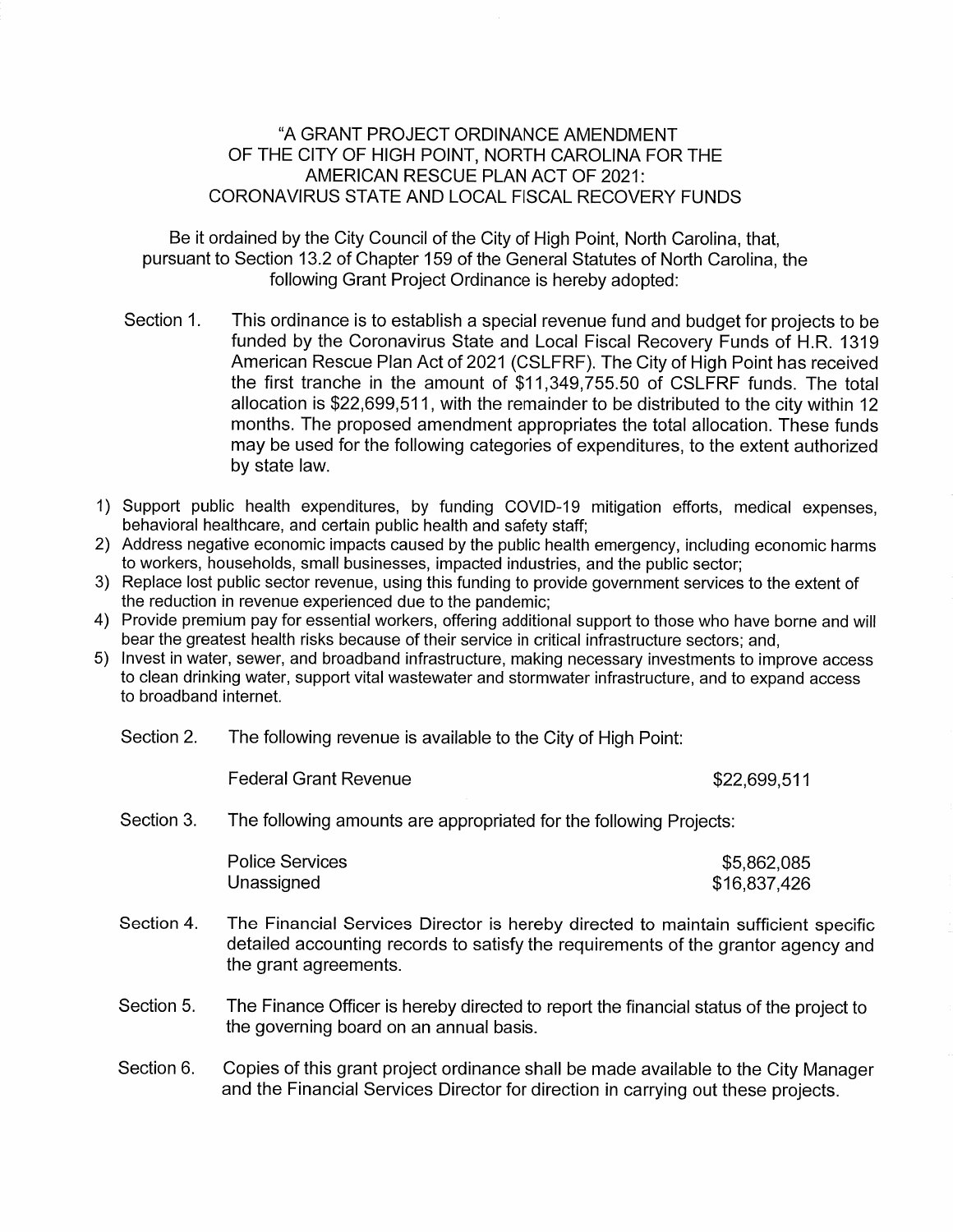#### "A GRANT PROJECT ORDINANCE AMENDMENT OF THE CITY OF HIGH POINT, NORTH CAROLINA FOR THE AMERICAN RESCUE PLAN ACT OF 2021: CORONAVIRUS STATE AND LOCAL FISCAL RECOVERY FUNDS

Be it ordained by the City Council of the City of High Point, North Carolina, that, pursuant to Section 13.2 of Chapter 159 of the General Statutes of North Carolina, the following Grant Project Ordinance is hereby adopted:

- Section 1. This ordinance is to establish a special revenue fund and budget for projects to be funded by the Coronavirus State and Local Fiscal Recovery Funds of H.R. 1319 American Rescue Plan Act of 2021 (CSLFRF). The City of High Point has received the first tranche in the amount of \$11,349,755.50 of CSLFRF funds. The total allocation is \$22,699,511, with the remainder to be distributed to the city within 12 months. The proposed amendment appropriates the total allocation. These funds may be used for the following categories of expenditures, to the extent authorized by state law.
- 1) Support public health expenditures, by funding COVID-19 mitigation efforts, medical expenses, behavioral healthcare, and certain public health and safety staff;
- 2) Address negative economic impacts caused by the public health emergency, including economic harms to workers, households, small businesses, impacted industries, and the public sector;
- 3) Replace lost public sector revenue, using this funding to provide government services to the extent of the reduction in revenue experienced due to the pandemic;
- 4) Provide premium pay for essential workers, offering additional support to those who have borne and will bear the greatest health risks because of their service in critical infrastructure sectors; and,
- 5) Invest in water, sewer, and broadband infrastructure, making necessary investments to improve access to clean drinking water, support vital wastewater and stormwater infrastructure, and to expand access to broadband internet.

|  | Section 2. | The following revenue is available to the City of High Point: |
|--|------------|---------------------------------------------------------------|
|--|------------|---------------------------------------------------------------|

**Federal Grant Revenue** 

\$22,699,511

Section 3. The following amounts are appropriated for the following Projects:

| <b>Police Services</b> | \$5,862,085  |
|------------------------|--------------|
| Unassigned             | \$16,837,426 |

- Section 4. The Financial Services Director is hereby directed to maintain sufficient specific detailed accounting records to satisfy the requirements of the grantor agency and the grant agreements.
- Section 5. The Finance Officer is hereby directed to report the financial status of the project to the governing board on an annual basis.
- Section 6. Copies of this grant project ordinance shall be made available to the City Manager and the Financial Services Director for direction in carrying out these projects.